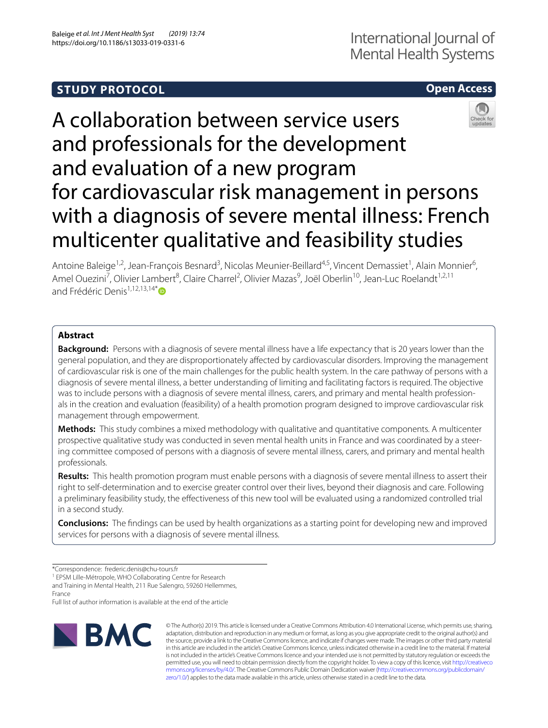# **STUDY PROTOCOL**

# **Open Access**

# A collaboration between service users and professionals for the development and evaluation of a new program for cardiovascular risk management in persons with a diagnosis of severe mental illness: French multicenter qualitative and feasibility studies



# **Abstract**

**Background:** Persons with a diagnosis of severe mental illness have a life expectancy that is 20 years lower than the general population, and they are disproportionately afected by cardiovascular disorders. Improving the management of cardiovascular risk is one of the main challenges for the public health system. In the care pathway of persons with a diagnosis of severe mental illness, a better understanding of limiting and facilitating factors is required. The objective was to include persons with a diagnosis of severe mental illness, carers, and primary and mental health professionals in the creation and evaluation (feasibility) of a health promotion program designed to improve cardiovascular risk management through empowerment.

**Methods:** This study combines a mixed methodology with qualitative and quantitative components. A multicenter prospective qualitative study was conducted in seven mental health units in France and was coordinated by a steering committee composed of persons with a diagnosis of severe mental illness, carers, and primary and mental health professionals.

**Results:** This health promotion program must enable persons with a diagnosis of severe mental illness to assert their right to self-determination and to exercise greater control over their lives, beyond their diagnosis and care. Following a preliminary feasibility study, the efectiveness of this new tool will be evaluated using a randomized controlled trial in a second study.

**Conclusions:** The fndings can be used by health organizations as a starting point for developing new and improved services for persons with a diagnosis of severe mental illness.

<sup>1</sup> EPSM Lille-Métropole, WHO Collaborating Centre for Research and Training in Mental Health, 211 Rue Salengro, 59260 Hellemmes,

France

Full list of author information is available at the end of the article



© The Author(s) 2019. This article is licensed under a Creative Commons Attribution 4.0 International License, which permits use, sharing, adaptation, distribution and reproduction in any medium or format, as long as you give appropriate credit to the original author(s) and the source, provide a link to the Creative Commons licence, and indicate if changes were made. The images or other third party material in this article are included in the article's Creative Commons licence, unless indicated otherwise in a credit line to the material. If material is not included in the article's Creative Commons licence and your intended use is not permitted by statutory regulation or exceeds the permitted use, you will need to obtain permission directly from the copyright holder. To view a copy of this licence, visit [http://creativeco](http://creativecommons.org/licenses/by/4.0/) [mmons.org/licenses/by/4.0/.](http://creativecommons.org/licenses/by/4.0/) The Creative Commons Public Domain Dedication waiver ([http://creativecommons.org/publicdomain/](http://creativecommons.org/publicdomain/zero/1.0/) [zero/1.0/\)](http://creativecommons.org/publicdomain/zero/1.0/) applies to the data made available in this article, unless otherwise stated in a credit line to the data.

<sup>\*</sup>Correspondence: frederic.denis@chu‑tours.fr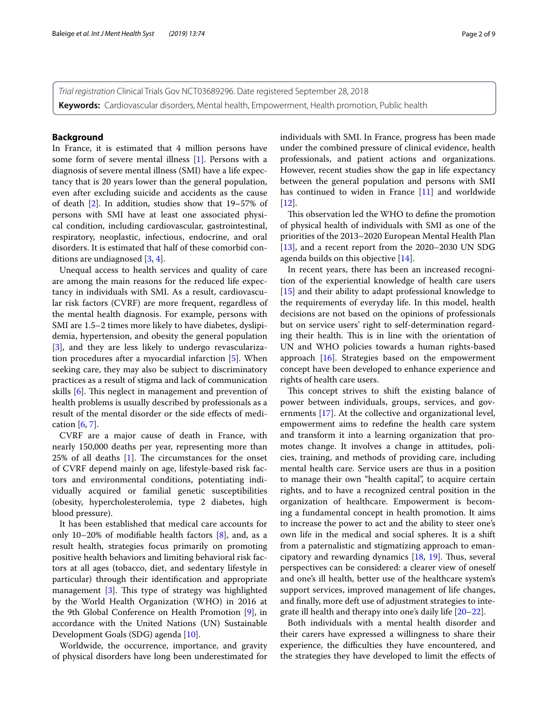*Trial registration* Clinical Trials Gov NCT03689296. Date registered September 28, 2018 **Keywords:** Cardiovascular disorders, Mental health, Empowerment, Health promotion, Public health

### **Background**

In France, it is estimated that 4 million persons have some form of severe mental illness [\[1](#page-8-0)]. Persons with a diagnosis of severe mental illness (SMI) have a life expectancy that is 20 years lower than the general population, even after excluding suicide and accidents as the cause of death [\[2](#page-8-1)]. In addition, studies show that 19–57% of persons with SMI have at least one associated physical condition, including cardiovascular, gastrointestinal, respiratory, neoplastic, infectious, endocrine, and oral disorders. It is estimated that half of these comorbid conditions are undiagnosed [\[3,](#page-8-2) [4](#page-8-3)].

Unequal access to health services and quality of care are among the main reasons for the reduced life expectancy in individuals with SMI. As a result, cardiovascular risk factors (CVRF) are more frequent, regardless of the mental health diagnosis. For example, persons with SMI are 1.5–2 times more likely to have diabetes, dyslipidemia, hypertension, and obesity the general population [[3\]](#page-8-2), and they are less likely to undergo revascularization procedures after a myocardial infarction [[5](#page-8-4)]. When seeking care, they may also be subject to discriminatory practices as a result of stigma and lack of communication skills [\[6](#page-8-5)]. This neglect in management and prevention of health problems is usually described by professionals as a result of the mental disorder or the side efects of medication [[6](#page-8-5), [7\]](#page-8-6).

CVRF are a major cause of death in France, with nearly 150,000 deaths per year, representing more than  $25\%$  of all deaths [[1\]](#page-8-0). The circumstances for the onset of CVRF depend mainly on age, lifestyle-based risk factors and environmental conditions, potentiating individually acquired or familial genetic susceptibilities (obesity, hypercholesterolemia, type 2 diabetes, high blood pressure).

It has been established that medical care accounts for only 10–20% of modifable health factors [\[8](#page-8-7)], and, as a result health, strategies focus primarily on promoting positive health behaviors and limiting behavioral risk factors at all ages (tobacco, diet, and sedentary lifestyle in particular) through their identifcation and appropriate management  $[3]$  $[3]$ . This type of strategy was highlighted by the World Health Organization (WHO) in 2016 at the 9th Global Conference on Health Promotion [[9](#page-8-8)], in accordance with the United Nations (UN) Sustainable Development Goals (SDG) agenda [[10\]](#page-8-9).

Worldwide, the occurrence, importance, and gravity of physical disorders have long been underestimated for individuals with SMI. In France, progress has been made under the combined pressure of clinical evidence, health professionals, and patient actions and organizations. However, recent studies show the gap in life expectancy between the general population and persons with SMI has continued to widen in France [\[11](#page-8-10)] and worldwide  $[12]$  $[12]$ 

This observation led the WHO to define the promotion of physical health of individuals with SMI as one of the priorities of the 2013–2020 European Mental Health Plan [[13\]](#page-8-12), and a recent report from the 2020–2030 UN SDG agenda builds on this objective [[14](#page-8-13)].

In recent years, there has been an increased recognition of the experiential knowledge of health care users [[15\]](#page-8-14) and their ability to adapt professional knowledge to the requirements of everyday life. In this model, health decisions are not based on the opinions of professionals but on service users' right to self-determination regarding their health. This is in line with the orientation of UN and WHO policies towards a human rights-based approach [\[16\]](#page-8-15). Strategies based on the empowerment concept have been developed to enhance experience and rights of health care users.

This concept strives to shift the existing balance of power between individuals, groups, services, and governments [[17\]](#page-8-16). At the collective and organizational level, empowerment aims to redefne the health care system and transform it into a learning organization that promotes change. It involves a change in attitudes, policies, training, and methods of providing care, including mental health care. Service users are thus in a position to manage their own "health capital", to acquire certain rights, and to have a recognized central position in the organization of healthcare. Empowerment is becoming a fundamental concept in health promotion. It aims to increase the power to act and the ability to steer one's own life in the medical and social spheres. It is a shift from a paternalistic and stigmatizing approach to emancipatory and rewarding dynamics  $[18, 19]$  $[18, 19]$  $[18, 19]$  $[18, 19]$ . Thus, several perspectives can be considered: a clearer view of oneself and one's ill health, better use of the healthcare system's support services, improved management of life changes, and fnally, more deft use of adjustment strategies to integrate ill health and therapy into one's daily life [\[20](#page-8-19)–[22\]](#page-8-20).

Both individuals with a mental health disorder and their carers have expressed a willingness to share their experience, the difficulties they have encountered, and the strategies they have developed to limit the efects of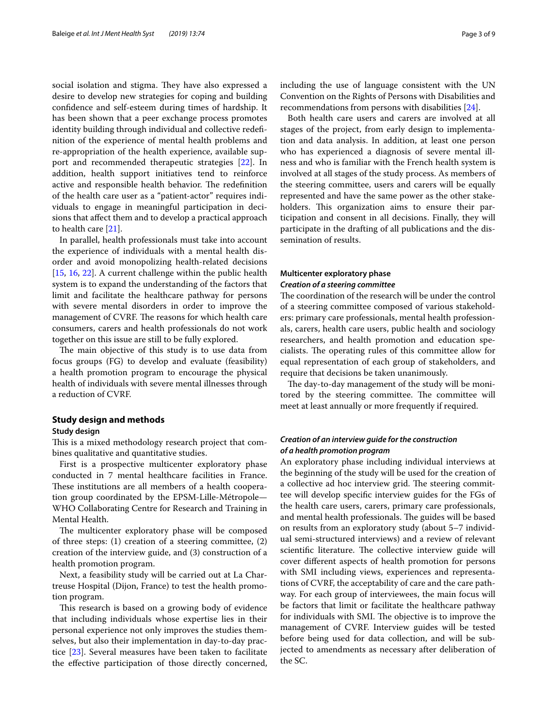social isolation and stigma. They have also expressed a desire to develop new strategies for coping and building confdence and self-esteem during times of hardship. It has been shown that a peer exchange process promotes identity building through individual and collective redefnition of the experience of mental health problems and re-appropriation of the health experience, available support and recommended therapeutic strategies [[22\]](#page-8-20). In addition, health support initiatives tend to reinforce active and responsible health behavior. The redefinition of the health care user as a "patient-actor" requires individuals to engage in meaningful participation in decisions that afect them and to develop a practical approach to health care [[21\]](#page-8-21).

In parallel, health professionals must take into account the experience of individuals with a mental health disorder and avoid monopolizing health-related decisions [[15,](#page-8-14) [16,](#page-8-15) [22](#page-8-20)]. A current challenge within the public health system is to expand the understanding of the factors that limit and facilitate the healthcare pathway for persons with severe mental disorders in order to improve the management of CVRF. The reasons for which health care consumers, carers and health professionals do not work together on this issue are still to be fully explored.

The main objective of this study is to use data from focus groups (FG) to develop and evaluate (feasibility) a health promotion program to encourage the physical health of individuals with severe mental illnesses through a reduction of CVRF.

# **Study design and methods**

# **Study design**

This is a mixed methodology research project that combines qualitative and quantitative studies.

First is a prospective multicenter exploratory phase conducted in 7 mental healthcare facilities in France. These institutions are all members of a health cooperation group coordinated by the EPSM-Lille-Métropole— WHO Collaborating Centre for Research and Training in Mental Health.

The multicenter exploratory phase will be composed of three steps: (1) creation of a steering committee, (2) creation of the interview guide, and (3) construction of a health promotion program.

Next, a feasibility study will be carried out at La Chartreuse Hospital (Dijon, France) to test the health promotion program.

This research is based on a growing body of evidence that including individuals whose expertise lies in their personal experience not only improves the studies themselves, but also their implementation in day-to-day practice [\[23\]](#page-8-22). Several measures have been taken to facilitate the efective participation of those directly concerned,

including the use of language consistent with the UN Convention on the Rights of Persons with Disabilities and recommendations from persons with disabilities [\[24\]](#page-8-23).

Both health care users and carers are involved at all stages of the project, from early design to implementation and data analysis. In addition, at least one person who has experienced a diagnosis of severe mental illness and who is familiar with the French health system is involved at all stages of the study process. As members of the steering committee, users and carers will be equally represented and have the same power as the other stakeholders. This organization aims to ensure their participation and consent in all decisions. Finally, they will participate in the drafting of all publications and the dissemination of results.

# **Multicenter exploratory phase** *Creation of a steering committee*

The coordination of the research will be under the control of a steering committee composed of various stakeholders: primary care professionals, mental health professionals, carers, health care users, public health and sociology researchers, and health promotion and education specialists. The operating rules of this committee allow for equal representation of each group of stakeholders, and require that decisions be taken unanimously.

The day-to-day management of the study will be monitored by the steering committee. The committee will meet at least annually or more frequently if required.

# *Creation of an interview guide for the construction of a health promotion program*

An exploratory phase including individual interviews at the beginning of the study will be used for the creation of a collective ad hoc interview grid. The steering committee will develop specifc interview guides for the FGs of the health care users, carers, primary care professionals, and mental health professionals. The guides will be based on results from an exploratory study (about 5–7 individual semi-structured interviews) and a review of relevant scientific literature. The collective interview guide will cover diferent aspects of health promotion for persons with SMI including views, experiences and representations of CVRF, the acceptability of care and the care pathway. For each group of interviewees, the main focus will be factors that limit or facilitate the healthcare pathway for individuals with SMI. The objective is to improve the management of CVRF. Interview guides will be tested before being used for data collection, and will be subjected to amendments as necessary after deliberation of the SC.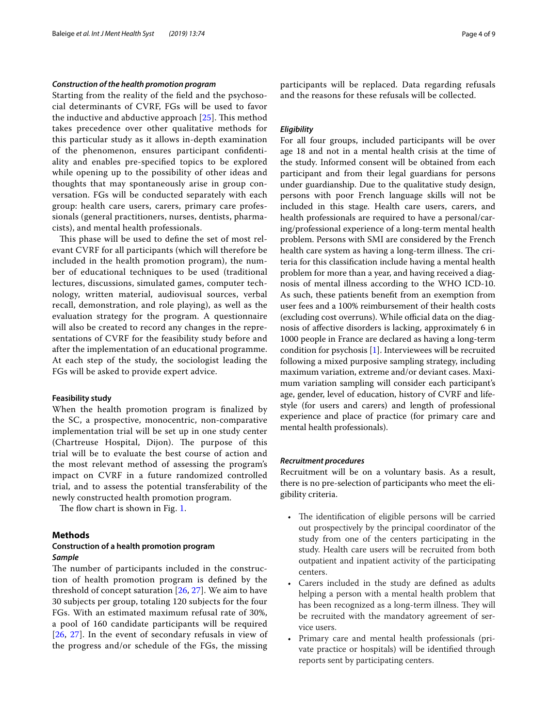#### *Construction of the health promotion program*

Starting from the reality of the feld and the psychosocial determinants of CVRF, FGs will be used to favor the inductive and abductive approach  $[25]$  $[25]$ . This method takes precedence over other qualitative methods for this particular study as it allows in-depth examination of the phenomenon, ensures participant confdentiality and enables pre-specifed topics to be explored while opening up to the possibility of other ideas and thoughts that may spontaneously arise in group conversation. FGs will be conducted separately with each group: health care users, carers, primary care professionals (general practitioners, nurses, dentists, pharmacists), and mental health professionals.

This phase will be used to define the set of most relevant CVRF for all participants (which will therefore be included in the health promotion program), the number of educational techniques to be used (traditional lectures, discussions, simulated games, computer technology, written material, audiovisual sources, verbal recall, demonstration, and role playing), as well as the evaluation strategy for the program. A questionnaire will also be created to record any changes in the representations of CVRF for the feasibility study before and after the implementation of an educational programme. At each step of the study, the sociologist leading the FGs will be asked to provide expert advice.

#### **Feasibility study**

When the health promotion program is fnalized by the SC, a prospective, monocentric, non-comparative implementation trial will be set up in one study center (Chartreuse Hospital, Dijon). The purpose of this trial will be to evaluate the best course of action and the most relevant method of assessing the program's impact on CVRF in a future randomized controlled trial, and to assess the potential transferability of the newly constructed health promotion program.

The flow chart is shown in Fig. [1](#page-4-0).

#### **Methods**

# **Construction of a health promotion program** *Sample*

The number of participants included in the construction of health promotion program is defned by the threshold of concept saturation  $[26, 27]$  $[26, 27]$  $[26, 27]$  $[26, 27]$ . We aim to have 30 subjects per group, totaling 120 subjects for the four FGs. With an estimated maximum refusal rate of 30%, a pool of 160 candidate participants will be required [[26](#page-8-25), [27](#page-8-26)]. In the event of secondary refusals in view of the progress and/or schedule of the FGs, the missing participants will be replaced. Data regarding refusals and the reasons for these refusals will be collected.

### *Eligibility*

For all four groups, included participants will be over age 18 and not in a mental health crisis at the time of the study. Informed consent will be obtained from each participant and from their legal guardians for persons under guardianship. Due to the qualitative study design, persons with poor French language skills will not be included in this stage. Health care users, carers, and health professionals are required to have a personal/caring/professional experience of a long-term mental health problem. Persons with SMI are considered by the French health care system as having a long-term illness. The criteria for this classifcation include having a mental health problem for more than a year, and having received a diagnosis of mental illness according to the WHO ICD-10. As such, these patients beneft from an exemption from user fees and a 100% reimbursement of their health costs (excluding cost overruns). While official data on the diagnosis of afective disorders is lacking, approximately 6 in 1000 people in France are declared as having a long-term condition for psychosis [[1\]](#page-8-0). Interviewees will be recruited following a mixed purposive sampling strategy, including maximum variation, extreme and/or deviant cases. Maximum variation sampling will consider each participant's age, gender, level of education, history of CVRF and lifestyle (for users and carers) and length of professional experience and place of practice (for primary care and mental health professionals).

#### *Recruitment procedures*

Recruitment will be on a voluntary basis. As a result, there is no pre-selection of participants who meet the eligibility criteria.

- The identification of eligible persons will be carried out prospectively by the principal coordinator of the study from one of the centers participating in the study. Health care users will be recruited from both outpatient and inpatient activity of the participating centers.
- Carers included in the study are defned as adults helping a person with a mental health problem that has been recognized as a long-term illness. They will be recruited with the mandatory agreement of service users.
- Primary care and mental health professionals (private practice or hospitals) will be identifed through reports sent by participating centers.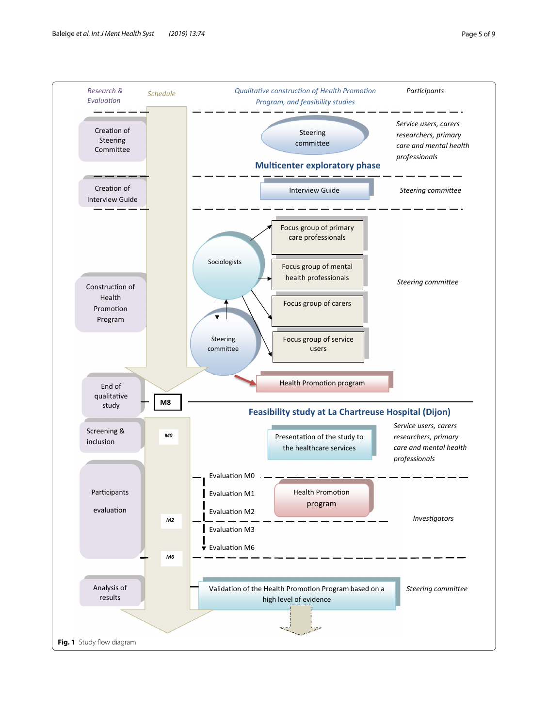<span id="page-4-0"></span>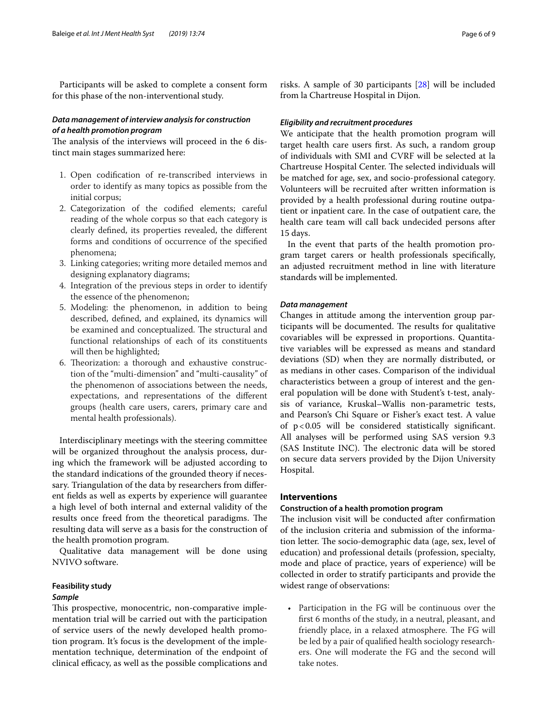Participants will be asked to complete a consent form for this phase of the non-interventional study.

# *Data management of interview analysis for construction of a health promotion program*

The analysis of the interviews will proceed in the 6 distinct main stages summarized here:

- 1. Open codifcation of re-transcribed interviews in order to identify as many topics as possible from the initial corpus;
- 2. Categorization of the codifed elements; careful reading of the whole corpus so that each category is clearly defned, its properties revealed, the diferent forms and conditions of occurrence of the specifed phenomena;
- 3. Linking categories; writing more detailed memos and designing explanatory diagrams;
- 4. Integration of the previous steps in order to identify the essence of the phenomenon;
- 5. Modeling: the phenomenon, in addition to being described, defned, and explained, its dynamics will be examined and conceptualized. The structural and functional relationships of each of its constituents will then be highlighted;
- 6. Theorization: a thorough and exhaustive construction of the "multi-dimension" and "multi-causality" of the phenomenon of associations between the needs, expectations, and representations of the diferent groups (health care users, carers, primary care and mental health professionals).

Interdisciplinary meetings with the steering committee will be organized throughout the analysis process, during which the framework will be adjusted according to the standard indications of the grounded theory if necessary. Triangulation of the data by researchers from diferent felds as well as experts by experience will guarantee a high level of both internal and external validity of the results once freed from the theoretical paradigms. The resulting data will serve as a basis for the construction of the health promotion program.

Qualitative data management will be done using NVIVO software.

# **Feasibility study**

# *Sample*

This prospective, monocentric, non-comparative implementation trial will be carried out with the participation of service users of the newly developed health promotion program. It's focus is the development of the implementation technique, determination of the endpoint of clinical efficacy, as well as the possible complications and

risks. A sample of 30 participants [\[28](#page-8-27)] will be included from la Chartreuse Hospital in Dijon.

# *Eligibility and recruitment procedures*

We anticipate that the health promotion program will target health care users frst. As such, a random group of individuals with SMI and CVRF will be selected at la Chartreuse Hospital Center. The selected individuals will be matched for age, sex, and socio-professional category. Volunteers will be recruited after written information is provided by a health professional during routine outpatient or inpatient care. In the case of outpatient care, the health care team will call back undecided persons after 15 days.

In the event that parts of the health promotion program target carers or health professionals specifcally, an adjusted recruitment method in line with literature standards will be implemented.

# *Data management*

Changes in attitude among the intervention group participants will be documented. The results for qualitative covariables will be expressed in proportions. Quantitative variables will be expressed as means and standard deviations (SD) when they are normally distributed, or as medians in other cases. Comparison of the individual characteristics between a group of interest and the general population will be done with Student's t-test, analysis of variance, Kruskal–Wallis non-parametric tests, and Pearson's Chi Square or Fisher's exact test. A value of p<0.05 will be considered statistically signifcant. All analyses will be performed using SAS version 9.3 (SAS Institute INC). The electronic data will be stored on secure data servers provided by the Dijon University Hospital.

# **Interventions**

# **Construction of a health promotion program**

The inclusion visit will be conducted after confirmation of the inclusion criteria and submission of the information letter. The socio-demographic data (age, sex, level of education) and professional details (profession, specialty, mode and place of practice, years of experience) will be collected in order to stratify participants and provide the widest range of observations:

• Participation in the FG will be continuous over the frst 6 months of the study, in a neutral, pleasant, and friendly place, in a relaxed atmosphere. The FG will be led by a pair of qualifed health sociology researchers. One will moderate the FG and the second will take notes.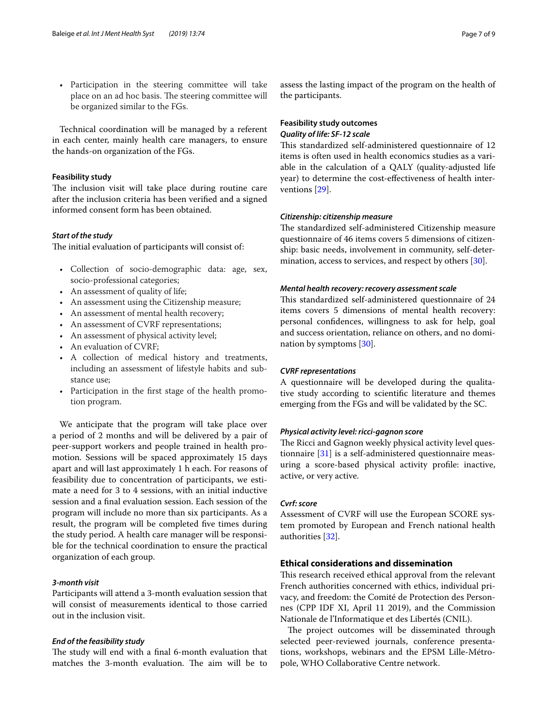• Participation in the steering committee will take place on an ad hoc basis. The steering committee will be organized similar to the FGs.

Technical coordination will be managed by a referent in each center, mainly health care managers, to ensure the hands-on organization of the FGs.

# **Feasibility study**

The inclusion visit will take place during routine care after the inclusion criteria has been verifed and a signed informed consent form has been obtained.

### *Start of the study*

The initial evaluation of participants will consist of:

- Collection of socio-demographic data: age, sex, socio-professional categories;
- An assessment of quality of life;
- An assessment using the Citizenship measure;
- An assessment of mental health recovery;
- An assessment of CVRF representations;
- An assessment of physical activity level;
- An evaluation of CVRF;
- A collection of medical history and treatments, including an assessment of lifestyle habits and substance use;
- Participation in the frst stage of the health promotion program.

We anticipate that the program will take place over a period of 2 months and will be delivered by a pair of peer-support workers and people trained in health promotion. Sessions will be spaced approximately 15 days apart and will last approximately 1 h each. For reasons of feasibility due to concentration of participants, we estimate a need for 3 to 4 sessions, with an initial inductive session and a fnal evaluation session. Each session of the program will include no more than six participants. As a result, the program will be completed fve times during the study period. A health care manager will be responsible for the technical coordination to ensure the practical organization of each group.

# *3‑month visit*

Participants will attend a 3-month evaluation session that will consist of measurements identical to those carried out in the inclusion visit.

#### *End of the feasibility study*

The study will end with a final 6-month evaluation that matches the 3-month evaluation. The aim will be to

assess the lasting impact of the program on the health of the participants.

# **Feasibility study outcomes** *Quality of life: SF‑12 scale*

This standardized self-administered questionnaire of 12 items is often used in health economics studies as a variable in the calculation of a QALY (quality-adjusted life year) to determine the cost-efectiveness of health interventions [[29\]](#page-8-28).

# *Citizenship: citizenship measure*

The standardized self-administered Citizenship measure questionnaire of 46 items covers 5 dimensions of citizenship: basic needs, involvement in community, self-determination, access to services, and respect by others [[30](#page-8-29)].

#### *Mental health recovery: recovery assessment scale*

This standardized self-administered questionnaire of 24 items covers 5 dimensions of mental health recovery: personal confdences, willingness to ask for help, goal and success orientation, reliance on others, and no domination by symptoms [\[30\]](#page-8-29).

# *CVRF representations*

A questionnaire will be developed during the qualitative study according to scientifc literature and themes emerging from the FGs and will be validated by the SC.

# *Physical activity level: ricci‑gagnon score*

The Ricci and Gagnon weekly physical activity level questionnaire [\[31\]](#page-8-30) is a self-administered questionnaire measuring a score-based physical activity profle: inactive, active, or very active.

#### *Cvrf: score*

Assessment of CVRF will use the European SCORE system promoted by European and French national health authorities [\[32](#page-8-31)].

# **Ethical considerations and dissemination**

This research received ethical approval from the relevant French authorities concerned with ethics, individual privacy, and freedom: the Comité de Protection des Personnes (CPP IDF XI, April 11 2019), and the Commission Nationale de l'Informatique et des Libertés (CNIL).

The project outcomes will be disseminated through selected peer-reviewed journals, conference presentations, workshops, webinars and the EPSM Lille-Métropole, WHO Collaborative Centre network.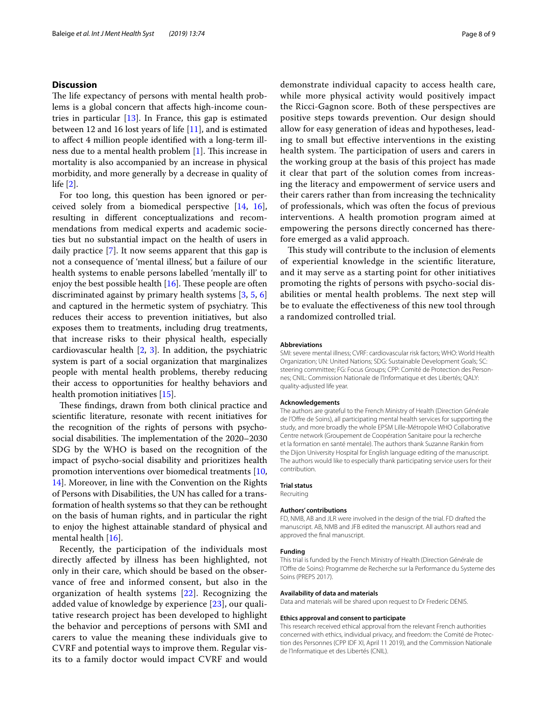# **Discussion**

The life expectancy of persons with mental health problems is a global concern that afects high-income countries in particular  $[13]$  $[13]$ . In France, this gap is estimated between 12 and 16 lost years of life [\[11\]](#page-8-10), and is estimated to afect 4 million people identifed with a long-term ill-ness due to a mental health problem [[1\]](#page-8-0). This increase in mortality is also accompanied by an increase in physical morbidity, and more generally by a decrease in quality of life [[2\]](#page-8-1).

For too long, this question has been ignored or perceived solely from a biomedical perspective [[14,](#page-8-13) [16](#page-8-15)], resulting in diferent conceptualizations and recommendations from medical experts and academic societies but no substantial impact on the health of users in daily practice [\[7](#page-8-6)]. It now seems apparent that this gap is not a consequence of 'mental illness', but a failure of our health systems to enable persons labelled 'mentally ill' to enjoy the best possible health  $[16]$  $[16]$ . These people are often discriminated against by primary health systems [\[3](#page-8-2), [5](#page-8-4), [6](#page-8-5)] and captured in the hermetic system of psychiatry. This reduces their access to prevention initiatives, but also exposes them to treatments, including drug treatments, that increase risks to their physical health, especially cardiovascular health [\[2](#page-8-1), [3\]](#page-8-2). In addition, the psychiatric system is part of a social organization that marginalizes people with mental health problems, thereby reducing their access to opportunities for healthy behaviors and health promotion initiatives [\[15\]](#page-8-14).

These findings, drawn from both clinical practice and scientifc literature, resonate with recent initiatives for the recognition of the rights of persons with psychosocial disabilities. The implementation of the 2020–2030 SDG by the WHO is based on the recognition of the impact of psycho-social disability and prioritizes health promotion interventions over biomedical treatments [\[10](#page-8-9), [14\]](#page-8-13). Moreover, in line with the Convention on the Rights of Persons with Disabilities, the UN has called for a transformation of health systems so that they can be rethought on the basis of human rights, and in particular the right to enjoy the highest attainable standard of physical and mental health [\[16](#page-8-15)].

Recently, the participation of the individuals most directly afected by illness has been highlighted, not only in their care, which should be based on the observance of free and informed consent, but also in the organization of health systems [[22](#page-8-20)]. Recognizing the added value of knowledge by experience [[23](#page-8-22)], our qualitative research project has been developed to highlight the behavior and perceptions of persons with SMI and carers to value the meaning these individuals give to CVRF and potential ways to improve them. Regular visits to a family doctor would impact CVRF and would demonstrate individual capacity to access health care, while more physical activity would positively impact the Ricci-Gagnon score. Both of these perspectives are positive steps towards prevention. Our design should allow for easy generation of ideas and hypotheses, leading to small but efective interventions in the existing health system. The participation of users and carers in the working group at the basis of this project has made it clear that part of the solution comes from increasing the literacy and empowerment of service users and their carers rather than from increasing the technicality of professionals, which was often the focus of previous interventions. A health promotion program aimed at empowering the persons directly concerned has therefore emerged as a valid approach.

This study will contribute to the inclusion of elements of experiential knowledge in the scientifc literature, and it may serve as a starting point for other initiatives promoting the rights of persons with psycho-social disabilities or mental health problems. The next step will be to evaluate the efectiveness of this new tool through a randomized controlled trial.

#### **Abbreviations**

SMI: severe mental illness; CVRF: cardiovascular risk factors; WHO: World Health Organization; UN: United Nations; SDG: Sustainable Development Goals; SC: steering committee; FG: Focus Groups; CPP: Comité de Protection des Personnes; CNIL: Commission Nationale de l'Informatique et des Libertés; QALY: quality-adjusted life year.

#### **Acknowledgements**

The authors are grateful to the French Ministry of Health (Direction Générale de l'Ofre de Soins), all participating mental health services for supporting the study, and more broadly the whole EPSM Lille-Métropole WHO Collaborative Centre network (Groupement de Coopération Sanitaire pour la recherche et la formation en santé mentale). The authors thank Suzanne Rankin from the Dijon University Hospital for English language editing of the manuscript. The authors would like to especially thank participating service users for their contribution.

#### **Trial status**

Recruiting

#### **Authors' contributions**

FD, NMB, AB and JLR were involved in the design of the trial. FD drafted the manuscript. AB, NMB and JFB edited the manuscript. All authors read and approved the fnal manuscript.

#### **Funding**

This trial is funded by the French Ministry of Health (Direction Générale de l'Ofre de Soins): Programme de Recherche sur la Performance du Systeme des Soins (PREPS 2017).

#### **Availability of data and materials**

Data and materials will be shared upon request to Dr Frederic DENIS.

#### **Ethics approval and consent to participate**

This research received ethical approval from the relevant French authorities concerned with ethics, individual privacy, and freedom: the Comité de Protection des Personnes (CPP IDF XI, April 11 2019), and the Commission Nationale de l'Informatique et des Libertés (CNIL).